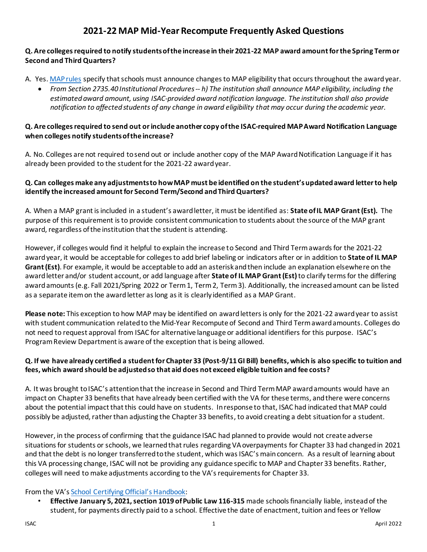# **2021-22 MAP Mid-Year Recompute Frequently Asked Questions**

## **Q. Are colleges required to notify students of the increase in their 2021-22 MAP award amount for the Spring Term or Second and Third Quarters?**

## A. Yes[. MAP rules](https://www.isac.org/e-library/documents/administrative-rules/2021-22-isac-rules/2735-MAP.pdf) specify that schools must announce changes to MAP eligibility that occurs throughout the award year.

• *From Section 2735.40 Institutional Procedures-- h) The institution shall announce MAP eligibility, including the estimated award amount, using ISAC-provided award notification language. The institution shall also provide notification to affected students of any change in award eligibility that may occur during the academic year.*

#### **Q. Are colleges required to send out or include another copy of the ISAC-required MAP Award Notification Language when colleges notify students of the increase?**

A. No. Colleges are not required to send out or include another copy of the MAP Award Notification Language if it has already been provided to the student for the 2021-22 award year.

### **Q. Can colleges make any adjustments to how MAP must be identified on the student'supdatedaward letter to help identify the increased amount for Second Term/Second and Third Quarters?**

A. When a MAP grant is included in a student's award letter, it must be identified as: **State of IL MAP Grant (Est).** The purpose of this requirement is to provide consistent communication to students about the source of the MAP grant award, regardless of the institution that the student is attending.

However, if colleges would find it helpful to explain the increase to Second and Third Term awards for the 2021-22 award year, it would be acceptable for colleges to add brief labeling or indicators after or in addition to **State of IL MAP Grant (Est)**. For example, it would be acceptable to add an asterisk and then include an explanation elsewhere on the award letter and/or student account, or add language after **State of IL MAP Grant (Est)**to clarify terms for the differing award amounts (e.g. Fall 2021/Spring 2022 or Term 1, Term 2, Term 3). Additionally, the increased amount can be listed as a separate item on the award letter as long as it is clearly identified as a MAP Grant.

**Please note:** This exception to how MAP may be identified on award letters is only for the 2021-22 award year to assist with student communication related to the Mid-Year Recompute of Second and Third Term award amounts. Colleges do not need to request approval from ISAC for alternative language or additional identifiers for this purpose. ISAC's Program Review Department is aware of the exception that is being allowed.

## **Q. If we have already certified a student for Chapter 33 (Post-9/11 GI Bill) benefits, which is also specific to tuition and fees, which award should be adjusted so that aid does not exceed eligible tuition and fee costs?**

A. It was brought to ISAC's attention that the increase in Second and Third TermMAP award amounts would have an impact on Chapter 33 benefits that have already been certified with the VA for these terms, and there were concerns about the potential impact that this could have on students. In response to that, ISAC had indicated that MAP could possibly be adjusted, rather than adjusting the Chapter 33 benefits, to avoid creating a debt situation for a student.

However, in the process of confirming that the guidance ISAC had planned to provide would not create adverse situations for students or schools, we learned that rules regarding VA overpayments for Chapter 33 had changed in 2021 and that the debt is no longer transferred to the student, which was ISAC's main concern. As a result of learning about this VA processing change, ISAC will not be providing any guidance specific to MAP and Chapter 33 benefits. Rather, colleges will need to make adjustments according to the VA's requirements for Chapter 33.

#### From the VA'[s School Certifying Official's Handbook](https://www.knowva.ebenefits.va.gov/system/templates/selfservice/va_ssnew/help/customer/locale/en-US/portal/554400000001018/content/554400000149088/School-Certifying-Official-Handbook-On-line):

• **Effective January 5, 2021, section 1019 of Public Law 116-315** made schools financially liable, instead of the student, for payments directly paid to a school. Effective the date of enactment, tuition and fees or Yellow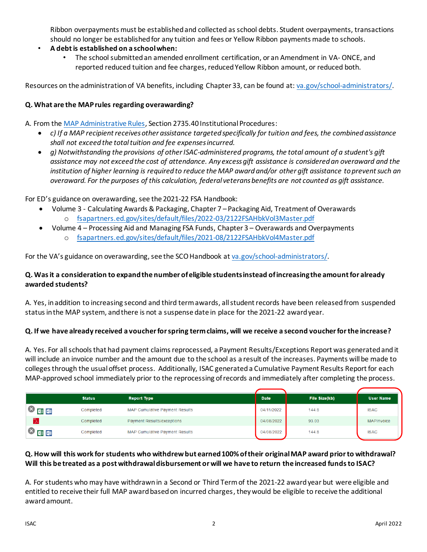Ribbon overpayments must be established and collected asschool debts. Student overpayments, transactions should no longer be established for any tuition and fees or Yellow Ribbon payments made to schools.

- **A debt is established on a school when:**
	- The school submitted an amended enrollment certification, or an Amendment in VA- ONCE, and reported reduced tuition and fee charges, reduced Yellow Ribbon amount, or reduced both.

Resources on the administration of VA benefits, including Chapter 33, can be found at: [va.gov/school-administrators/](https://www.va.gov/school-administrators/).

#### **Q. What are the MAP rules regarding overawarding?**

A. From the [MAP Administrative Rules,](https://www.isac.org/e-library/documents/administrative-rules/2021-22-isac-rules/2735-MAP.pdf) Section 2735.40 Institutional Procedures:

- *c) If a MAP recipient receives other assistance targeted specifically for tuition and fees, the combined assistance shall not exceed the total tuition and fee expenses incurred.*
- *g) Notwithstanding the provisions of other ISAC-administered programs, the total amount of a student's gift assistance may not exceed the cost of attendance. Any excess gift assistance is considered an overaward and the institution of higher learning is required to reduce the MAP award and/or other gift assistance to prevent such an overaward. For the purposes of this calculation, federal veterans benefits are not counted as gift assistance.*

For ED's guidance on overawarding, see the 2021-22 FSA Handbook:

- Volume 3 Calculating Awards & Packaging, Chapter 7 Packaging Aid, Treatment of Overawards o [fsapartners.ed.gov/sites/default/files/2022-03/2122FSAHbkVol3Master.pdf](https://fsapartners.ed.gov/sites/default/files/2022-03/2122FSAHbkVol3Master.pdf)
- Volume 4 Processing Aid and Managing FSA Funds, Chapter 3 Overawards and Overpayments o [fsapartners.ed.gov/sites/default/files/2021-08/2122FSAHbkVol4Master.pdf](https://fsapartners.ed.gov/sites/default/files/2021-08/2122FSAHbkVol4Master.pdf)

For the VA's guidance on overawarding, see the SCO Handbook at [va.gov/school-administrators/.](https://www.va.gov/school-administrators/)

#### **Q. Was it a consideration to expand the number of eligible students instead of increasing the amount for already awarded students?**

A. Yes, in addition to increasing second and third term awards, all student records have been released from suspended status in the MAP system, and there is not a suspense date in place for the 2021-22 award year.

#### **Q. If we have already received a voucher for spring term claims, will we receive a second voucher for the increase?**

A. Yes. For all schools that had payment claims reprocessed, a Payment Results/Exceptions Report was generated and it will include an invoice number and the amount due to the school as a result of the increases. Payments will be made to colleges through the usual offset process. Additionally, ISAC generated a Cumulative Payment Results Report for each MAP-approved school immediately prior to the reprocessing of records and immediately after completing the process.

|    | <b>Status</b> | <b>Report Type</b>                    | <b>Date</b> | File Size(kb) | <b>User Name</b>  |
|----|---------------|---------------------------------------|-------------|---------------|-------------------|
| 中国 | Completed     | <b>MAP Cumulative Payment Results</b> | 04/11/2022  | 144.8         | <b>ISAC</b>       |
|    | Completed     | <b>Payment Results/exceptions</b>     | 04/08/2022  | 93.03         | <b>MAPInvoice</b> |
| 中中 | Completed     | MAP Cumulative Payment Results        | 04/08/2022  | 144.8         | <b>ISAC</b>       |

## **Q. How will this work for students who withdrew but earned 100% of their original MAP award prior to withdrawal? Will this be treated as a post withdrawal disbursement or will we have to return the increased funds to ISAC?**

A. For students who may have withdrawn in a Second or Third Term of the 2021-22 award year but were eligible and entitled to receive their full MAP award based on incurred charges, they would be eligible to receive the additional award amount.